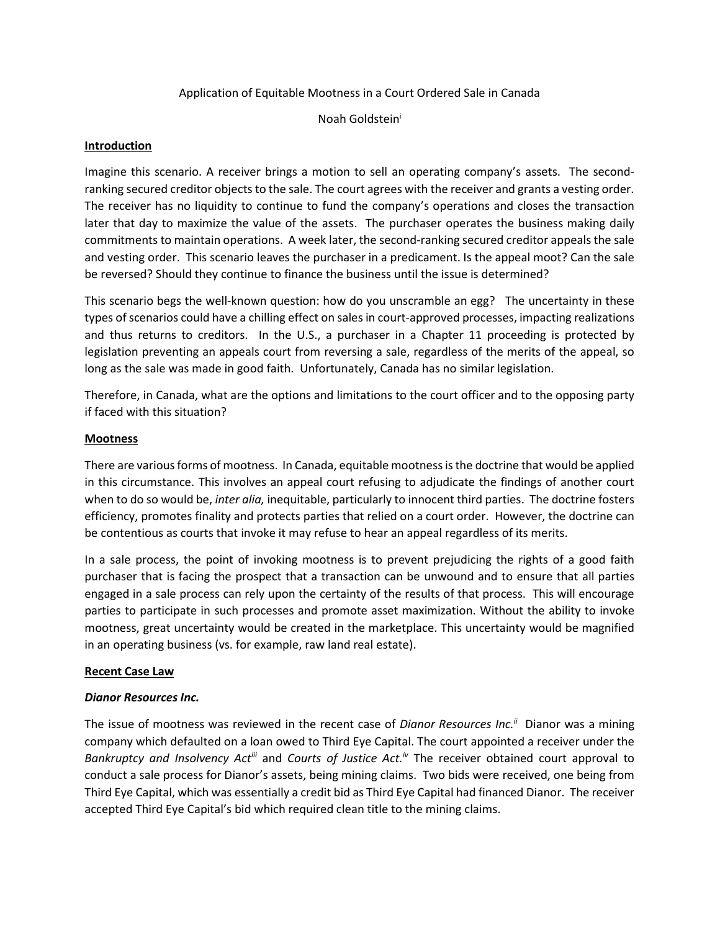## Application of Equitable Mootness in a Court Ordered Sale in Canada

Noah Goldstein<sup>i</sup>

#### Introduction

Imagine this scenario. A receiver brings a motion to sell an operating company's assets. The secondranking secured creditor objects to the sale. The court agrees with the receiver and grants a vesting order. The receiver has no liquidity to continue to fund the company's operations and closes the transaction later that day to maximize the value of the assets. The purchaser operates the business making daily commitments to maintain operations. A week later, the second-ranking secured creditor appeals the sale and vesting order. This scenario leaves the purchaser in a predicament. Is the appeal moot? Can the sale be reversed? Should they continue to finance the business until the issue is determined?

This scenario begs the well-known question: how do you unscramble an egg? The uncertainty in these types of scenarios could have a chilling effect on sales in court-approved processes, impacting realizations and thus returns to creditors. In the U.S., a purchaser in a Chapter 11 proceeding is protected by legislation preventing an appeals court from reversing a sale, regardless of the merits of the appeal, so long as the sale was made in good faith. Unfortunately, Canada has no similar legislation.

Therefore, in Canada, what are the options and limitations to the court officer and to the opposing party if faced with this situation?

#### Mootness

There are various forms of mootness. In Canada, equitable mootness is the doctrine that would be applied in this circumstance. This involves an appeal court refusing to adjudicate the findings of another court when to do so would be, *inter alia*, inequitable, particularly to innocent third parties. The doctrine fosters efficiency, promotes finality and protects parties that relied on a court order. However, the doctrine can be contentious as courts that invoke it may refuse to hear an appeal regardless of its merits.

In a sale process, the point of invoking mootness is to prevent prejudicing the rights of a good faith purchaser that is facing the prospect that a transaction can be unwound and to ensure that all parties engaged in a sale process can rely upon the certainty of the results of that process. This will encourage parties to participate in such processes and promote asset maximization. Without the ability to invoke mootness, great uncertainty would be created in the marketplace. This uncertainty would be magnified in an operating business (vs. for example, raw land real estate).

#### Recent Case Law

## Dianor Resources Inc.

The issue of mootness was reviewed in the recent case of Dianor Resources Inc.<sup> $ii$ </sup> Dianor was a mining company which defaulted on a loan owed to Third Eye Capital. The court appointed a receiver under the Bankruptcy and Insolvency Act<sup>iii</sup> and Courts of Justice Act.<sup>*i*</sup> The receiver obtained court approval to conduct a sale process for Dianor's assets, being mining claims. Two bids were received, one being from Third Eye Capital, which was essentially a credit bid as Third Eye Capital had financed Dianor. The receiver accepted Third Eye Capital's bid which required clean title to the mining claims.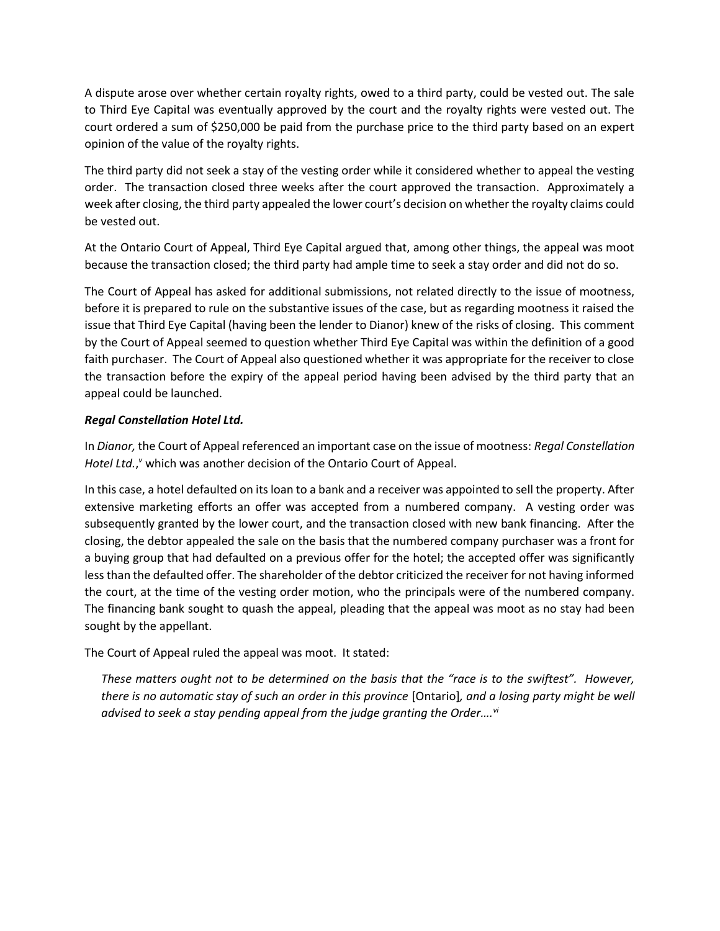A dispute arose over whether certain royalty rights, owed to a third party, could be vested out. The sale to Third Eye Capital was eventually approved by the court and the royalty rights were vested out. The court ordered a sum of \$250,000 be paid from the purchase price to the third party based on an expert opinion of the value of the royalty rights.

The third party did not seek a stay of the vesting order while it considered whether to appeal the vesting order. The transaction closed three weeks after the court approved the transaction. Approximately a week after closing, the third party appealed the lower court's decision on whether the royalty claims could be vested out.

At the Ontario Court of Appeal, Third Eye Capital argued that, among other things, the appeal was moot because the transaction closed; the third party had ample time to seek a stay order and did not do so.

The Court of Appeal has asked for additional submissions, not related directly to the issue of mootness, before it is prepared to rule on the substantive issues of the case, but as regarding mootness it raised the issue that Third Eye Capital (having been the lender to Dianor) knew of the risks of closing. This comment by the Court of Appeal seemed to question whether Third Eye Capital was within the definition of a good faith purchaser. The Court of Appeal also questioned whether it was appropriate for the receiver to close the transaction before the expiry of the appeal period having been advised by the third party that an appeal could be launched.

## Regal Constellation Hotel Ltd.

In Dianor, the Court of Appeal referenced an important case on the issue of mootness: Regal Constellation Hotel Ltd.," which was another decision of the Ontario Court of Appeal.

In this case, a hotel defaulted on its loan to a bank and a receiver was appointed to sell the property. After extensive marketing efforts an offer was accepted from a numbered company. A vesting order was subsequently granted by the lower court, and the transaction closed with new bank financing. After the closing, the debtor appealed the sale on the basis that the numbered company purchaser was a front for a buying group that had defaulted on a previous offer for the hotel; the accepted offer was significantly less than the defaulted offer. The shareholder of the debtor criticized the receiver for not having informed the court, at the time of the vesting order motion, who the principals were of the numbered company. The financing bank sought to quash the appeal, pleading that the appeal was moot as no stay had been sought by the appellant.

The Court of Appeal ruled the appeal was moot. It stated:

These matters ought not to be determined on the basis that the "race is to the swiftest". However, there is no automatic stay of such an order in this province [Ontario], and a losing party might be well advised to seek a stay pending appeal from the judge granting the Order.... $v^{i}$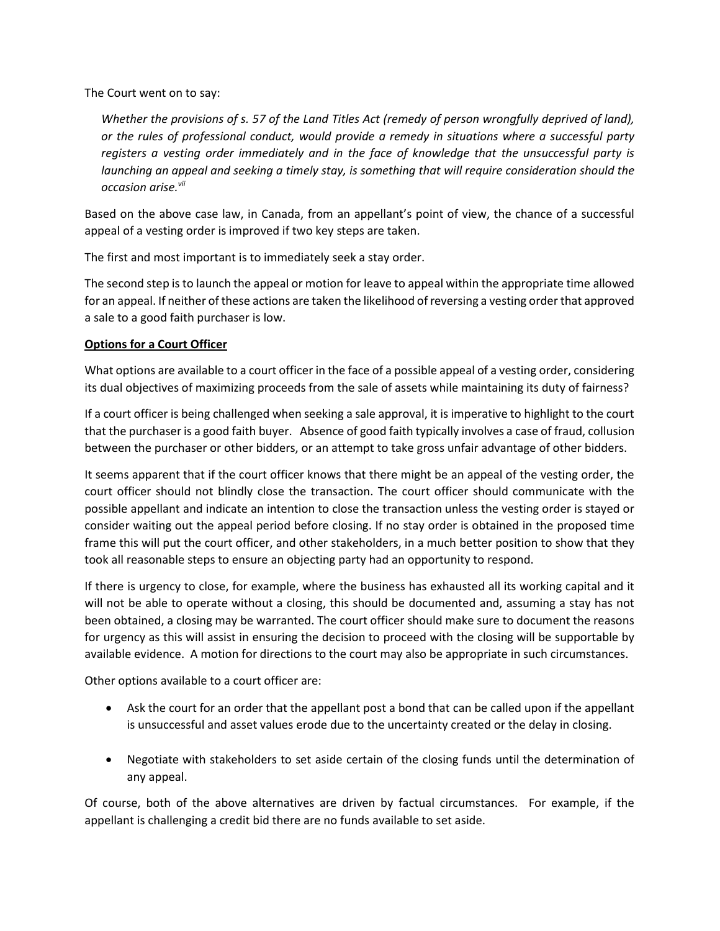The Court went on to say:

Whether the provisions of s. 57 of the Land Titles Act (remedy of person wrongfully deprived of land), or the rules of professional conduct, would provide a remedy in situations where a successful party registers a vesting order immediately and in the face of knowledge that the unsuccessful party is launching an appeal and seeking a timely stay, is something that will require consideration should the occasion arise.<sup>vii</sup>

Based on the above case law, in Canada, from an appellant's point of view, the chance of a successful appeal of a vesting order is improved if two key steps are taken.

The first and most important is to immediately seek a stay order.

The second step is to launch the appeal or motion for leave to appeal within the appropriate time allowed for an appeal. If neither of these actions are taken the likelihood of reversing a vesting order that approved a sale to a good faith purchaser is low.

# Options for a Court Officer

What options are available to a court officer in the face of a possible appeal of a vesting order, considering its dual objectives of maximizing proceeds from the sale of assets while maintaining its duty of fairness?

If a court officer is being challenged when seeking a sale approval, it is imperative to highlight to the court that the purchaser is a good faith buyer. Absence of good faith typically involves a case of fraud, collusion between the purchaser or other bidders, or an attempt to take gross unfair advantage of other bidders.

It seems apparent that if the court officer knows that there might be an appeal of the vesting order, the court officer should not blindly close the transaction. The court officer should communicate with the possible appellant and indicate an intention to close the transaction unless the vesting order is stayed or consider waiting out the appeal period before closing. If no stay order is obtained in the proposed time frame this will put the court officer, and other stakeholders, in a much better position to show that they took all reasonable steps to ensure an objecting party had an opportunity to respond.

If there is urgency to close, for example, where the business has exhausted all its working capital and it will not be able to operate without a closing, this should be documented and, assuming a stay has not been obtained, a closing may be warranted. The court officer should make sure to document the reasons for urgency as this will assist in ensuring the decision to proceed with the closing will be supportable by available evidence. A motion for directions to the court may also be appropriate in such circumstances.

Other options available to a court officer are:

- Ask the court for an order that the appellant post a bond that can be called upon if the appellant is unsuccessful and asset values erode due to the uncertainty created or the delay in closing.
- Negotiate with stakeholders to set aside certain of the closing funds until the determination of any appeal.

Of course, both of the above alternatives are driven by factual circumstances. For example, if the appellant is challenging a credit bid there are no funds available to set aside.